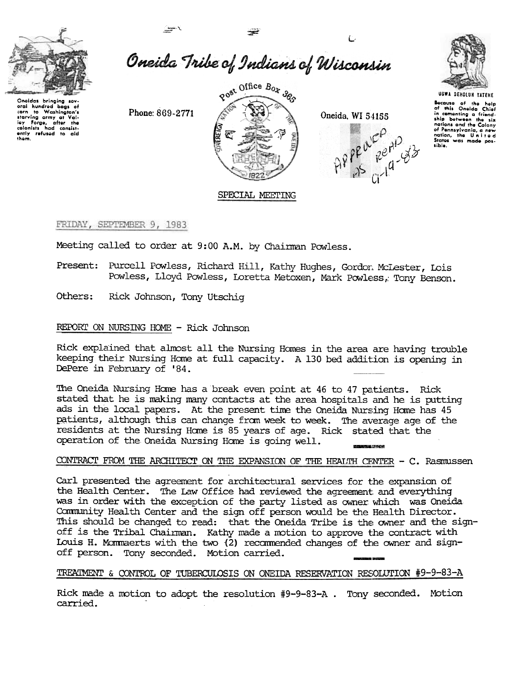

Oneida Tribe of Indians of Wisconsin

Oneidas bringing several hundred bags of<br>corn to Washington's carn to washington's<br>starving army at Val-<br>ley forge, after the<br>colonists had consist-<br>ently refused to aid<br>them.



Oneida, WI 54155





UGWA DEHOLUN YATEHE

Because of the help<br>of this Oneida Chief<br>in cementing a friend-<br>ship botween the six ship between the six<br>nations and the Colony<br>of Pennsylvania, a new<br>nation, the United<br>States was made pos-<br>sible.

# SPECIAL MEETING

FRIDAY, SEPTEMBER 9, 1983

Meeting called to order at 9:00 A.M. by Chairman Powless.

- Present: Purcell Powless, Richard Hill, Kathy Hughes, Gordon McLester, Lois Powless, Lloyd Powless, Loretta Metoxen, Mark Powless, Tony Benson.
- Others: Rick Johnson, Tony Utschiq

Phone: 869-2771

# REPORT ON NURSING HOME - Rick Johnson

Rick explained that almost all the Nursing Homes in the area are having trouble keeping their Nursing Home at full capacity. A 130 bed addition is opening in DePere in February of '84.

The Oneida Nursing Home has a break even point at 46 to 47 patients. Rick stated that he is making many contacts at the area hospitals and he is putting ads in the local papers. At the present time the Oneida Nursing Home has 45 patients, although this can change from week to week. The average age of the residents at the Nursing Home is 85 years of age. Rick stated that the operation of the Oneida Nursing Home is going well.

### CONTRACT FROM THE ARCHITECT ON THE EXPANSION OF THE HEALTH CENTER - C. Rasmussen

Carl presented the agreement for architectural services for the expansion of the Health Center. The Law Office had reviewed the agreement and everything was in order with the exception of the party listed as owner which was Oneida Community Health Center and the sign off person would be the Health Director. This should be changed to read: that the Oneida Tribe is the owner and the signoff is the Tribal Chairman. Kathy made a motion to approve the contract with Louis H. Mommaerts with the two (2) recommended changes of the owner and signoff person. Tony seconded. Motion carried.

### TREATMENT & CONTROL OF TUBERCULOSIS ON ONEIDA RESERVATION RESOLUTION #9-9-83-A

Rick made a motion to adopt the resolution #9-9-83-A. Tony seconded. Motion carried.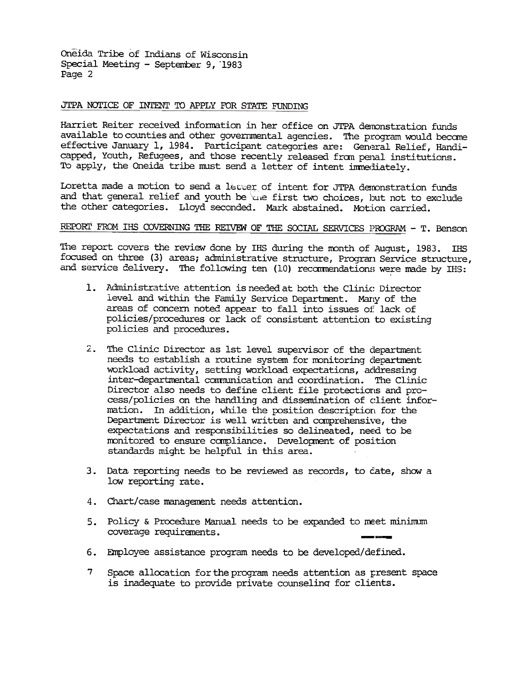Oneida Tribe of Indians of Wisconsin Special Meeting - September 9, 1983 Page 2

## JTPA NOTICE OF INTENT TO APPLY FOR STATE FUNDING

Harriet Reiter received information in her office on JTPA demonstration funds available to counties and other governmental agencies. The program would become effective January 1, 1984. Participant categories are: General Relief, Handicapped, Youth, Refugees, and those recently released from penal institutions. To apply, the Oneida tribe must send a letter of intent immediately.

Loretta made a motion to send a letter of intent for JTPA demonstration funds and that general relief and youth be use first two choices, but not to exclude the other categories. Lloyd seconded. Mark abstained. Motion carried.

# REPORT FROM IHS COVERNING THE REIVEW OF THE SOCIAL SERVICES PROGRAM - T. Benson

The report covers the review done by IHS during the month of August, 1983. IHS focused on three (3) areas; administrative structure, Program Service structure, and service delivery. The following ten (10) recommendations were made by IHS:

- 1. Administrative attention is needed at both the Clinic Director level and within the Family Service Department. Many of the areas of concern noted appear to fall into issues of lack of policies/procedures or lack of consistent attention to existing policies and procedures.
- 2. The Clinic Director as 1st level supervisor of the department needs to establish a routine system for monitoring department workload activity, setting workload expectations, addressing inter-departmental communication and coordination. The Clinic Director also needs to define client file protections and process/policies on the handling and dissemination of client information. In addition, while the position description for the Department Director is well written and comprehensive, the expectations and responsibilities so delineated, need to be monitored to ensure compliance. Development of position standards might be helpful in this area.
- 3. Data reporting needs to be reviewed as records, to cate, show a low reporting rate.
- 4. Chart/case management needs attention.
- 5. Policy & Procedure Manual needs to be expanded to meet minimum coverage requirements.
- 6. Employee assistance program needs to be developed/defined.
- $\overline{7}$ Space allocation for the program needs attention as present space is inadequate to provide private counseling for clients.